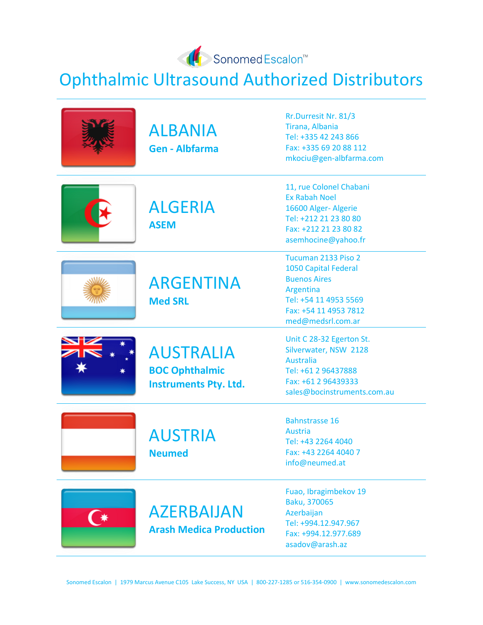

Ophthalmic Ultrasound Authorized Distributors

| <b>ALBANIA</b><br><b>Gen - Albfarma</b>                                   | Rr.Durresit Nr. 81/3<br>Tirana, Albania<br>Tel: +335 42 243 866<br>Fax: +335 69 20 88 112<br>mkociu@gen-albfarma.com                                          |
|---------------------------------------------------------------------------|---------------------------------------------------------------------------------------------------------------------------------------------------------------|
| <b>ALGERIA</b><br><b>ASEM</b>                                             | 11, rue Colonel Chabani<br><b>Ex Rabah Noel</b><br>16600 Alger- Algerie<br>Tel: +212 21 23 80 80<br>Fax: +212 21 23 80 82<br>asemhocine@yahoo.fr              |
| <b>ARGENTINA</b><br><b>Med SRL</b>                                        | Tucuman 2133 Piso 2<br><b>1050 Capital Federal</b><br><b>Buenos Aires</b><br>Argentina<br>Tel: +54 11 4953 5569<br>Fax: +54 11 4953 7812<br>med@medsrl.com.ar |
| <b>AUSTRALIA</b><br><b>BOC Ophthalmic</b><br><b>Instruments Pty. Ltd.</b> | Unit C 28-32 Egerton St.<br>Silverwater, NSW 2128<br><b>Australia</b><br>Tel: +61 2 96437888<br>Fax: +61 2 96439333<br>sales@bocinstruments.com.au            |
| <b>AUSTRIA</b><br><b>Neumed</b>                                           | <b>Bahnstrasse 16</b><br>Austria<br>Tel: +43 2264 4040<br>Fax: +43 2264 4040 7<br>info@neumed.at                                                              |
| <b>AZERBAIJAN</b><br><b>Arash Medica Production</b>                       | Fuao, Ibragimbekov 19<br>Baku, 370065<br>Azerbaijan<br>Tel: +994.12.947.967<br>Fax: +994.12.977.689<br>asadov@arash.az                                        |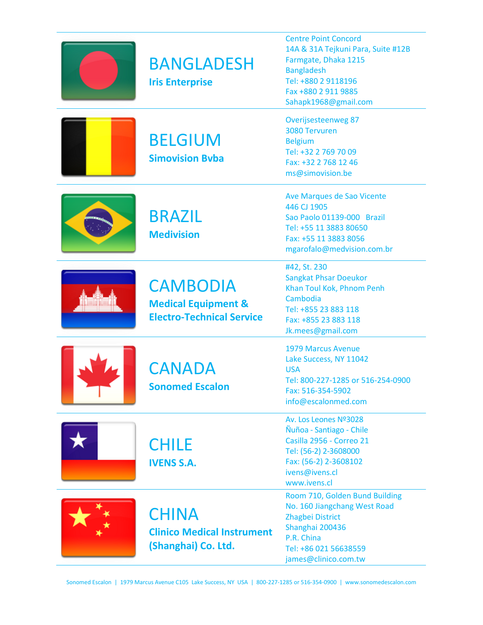| <b>BANGLADESH</b><br><b>Iris Enterprise</b>                                           | <b>Centre Point Concord</b><br>14A & 31A Tejkuni Para, Suite #12B<br>Farmgate, Dhaka 1215<br><b>Bangladesh</b><br>Tel: +880 2 9118196<br>Fax +880 2 911 9885<br>Sahapk1968@gmail.com |
|---------------------------------------------------------------------------------------|--------------------------------------------------------------------------------------------------------------------------------------------------------------------------------------|
| <b>BELGIUM</b><br><b>Simovision Byba</b>                                              | <b>Overijsesteenweg 87</b><br>3080 Tervuren<br><b>Belgium</b><br>Tel: +32 2 769 70 09<br>Fax: +32 2 768 12 46<br>ms@simovision.be                                                    |
| <b>BRAZIL</b><br><b>Medivision</b>                                                    | Ave Marques de Sao Vicente<br>446 CJ 1905<br>Sao Paolo 01139-000 Brazil<br>Tel: +55 11 3883 80650<br>Fax: +55 11 3883 8056<br>mgarofalo@medvision.com.br                             |
| <b>CAMBODIA</b><br><b>Medical Equipment &amp;</b><br><b>Electro-Technical Service</b> | #42, St. 230<br><b>Sangkat Phsar Doeukor</b><br>Khan Toul Kok, Phnom Penh<br>Cambodia<br>Tel: +855 23 883 118<br>Fax: +855 23 883 118<br>Jk.mees@gmail.com                           |
| <b>CANADA</b><br><b>Sonomed Escalon</b>                                               | <b>1979 Marcus Avenue</b><br>Lake Success, NY 11042<br><b>USA</b><br>Tel: 800-227-1285 or 516-254-0900<br>Fax: 516-354-5902<br>info@escalonmed.com                                   |
| <b>CHILE</b><br><b>IVENS S.A.</b>                                                     | Av. Los Leones Nº3028<br>Ñuñoa - Santiago - Chile<br>Casilla 2956 - Correo 21<br>Tel: (56-2) 2-3608000<br>Fax: (56-2) 2-3608102<br>ivens@ivens.cl<br>www.ivens.cl                    |
| <b>CHINA</b><br><b>Clinico Medical Instrument</b><br>(Shanghai) Co. Ltd.              | Room 710, Golden Bund Building<br>No. 160 Jiangchang West Road<br>Zhagbei District<br>Shanghai 200436<br>P.R. China<br>Tel: +86 021 56638559<br>james@clinico.com.tw                 |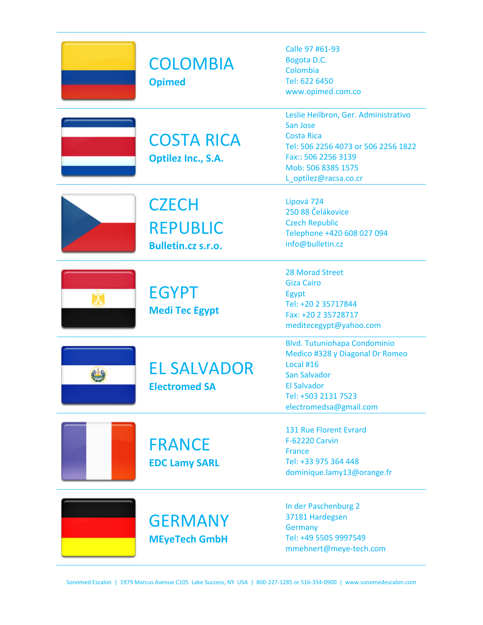| <b>COLOMBIA</b><br><b>Opimed</b>                             | Calle 97 #61-93<br>Bogota D.C.<br>Colombia<br>Tel: 622 6450<br>www.opimed.com.co                                                                                                   |
|--------------------------------------------------------------|------------------------------------------------------------------------------------------------------------------------------------------------------------------------------------|
| <b>COSTA RICA</b><br><b>Optilez Inc., S.A.</b>               | Leslie Heilbron, Ger. Administrativo<br>San Jose<br><b>Costa Rica</b><br>Tel: 506 2256 4073 or 506 2256 1822<br>Fax:: 506 2256 3139<br>Mob: 506 8385 1575<br>L_optilez@racsa.co.cr |
| <b>CZECH</b><br><b>REPUBLIC</b><br><b>Bulletin.cz s.r.o.</b> | Lipová 724<br>250 88 Čelákovice<br><b>Czech Republic</b><br>Telephone +420 608 027 094<br>info@bulletin.cz                                                                         |
| <b>EGYPT</b><br><b>Medi Tec Egypt</b>                        | <b>28 Morad Street</b><br><b>Giza Cairo</b><br>Egypt<br>Tel: +20 2 35717844<br>Fax: +20 2 35728717<br>meditecegypt@yahoo.com                                                       |
| <b>EL SALVADOR</b><br><b>Electromed SA</b>                   | <b>Blvd. Tutuniohapa Condominio</b><br>Medico #328 y Diagonal Dr Romeo<br>Local #16<br><b>San Salvador</b><br><b>El Salvador</b><br>Tel: +503 2131 7523<br>electromedsa@gmail.com  |
| <b>FRANCE</b><br><b>EDC Lamy SARL</b>                        | 131 Rue Florent Evrard<br><b>F-62220 Carvin</b><br><b>France</b><br>Tel: +33 975 364 448<br>dominique.lamy13@orange.fr                                                             |
| <b>GERMANY</b><br><b>MEyeTech GmbH</b>                       | In der Paschenburg 2<br>37181 Hardegsen<br><b>Germany</b><br>Tel: +49 5505 9997549<br>mmehnert@meye-tech.com                                                                       |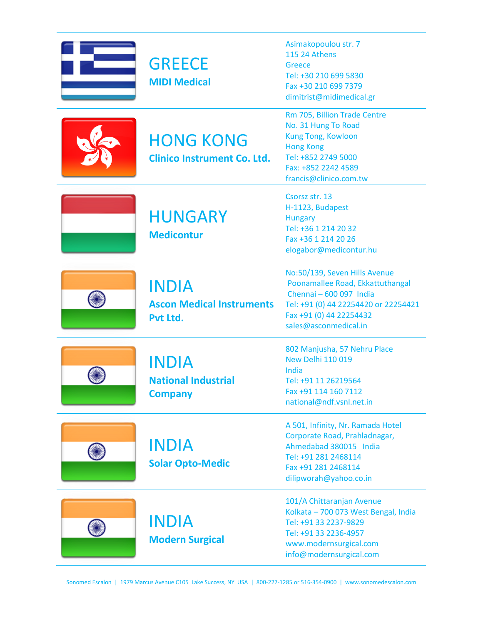| <b>GREECE</b><br><b>MIDI Medical</b>                         | Asimakopoulou str. 7<br><b>115 24 Athens</b><br>Greece<br>Tel: +30 210 699 5830<br>Fax +30 210 699 7379<br>dimitrist@midimedical.gr                                                      |
|--------------------------------------------------------------|------------------------------------------------------------------------------------------------------------------------------------------------------------------------------------------|
| <b>HONG KONG</b><br><b>Clinico Instrument Co. Ltd.</b>       | Rm 705, Billion Trade Centre<br>No. 31 Hung To Road<br><b>Kung Tong, Kowloon</b><br><b>Hong Kong</b><br>Tel: +852 2749 5000<br>Fax: +852 2242 4589<br>francis@clinico.com.tw             |
| <b>HUNGARY</b><br><b>Medicontur</b>                          | Csorsz str. 13<br>H-1123, Budapest<br><b>Hungary</b><br>Tel: +36 1 214 20 32<br>Fax +36 1 214 20 26<br>elogabor@medicontur.hu                                                            |
| <b>INDIA</b><br><b>Ascon Medical Instruments</b><br>Pvt Ltd. | No:50/139, Seven Hills Avenue<br>Poonamallee Road, Ekkattuthangal<br>Chennai - 600 097 India<br>Tel: +91 (0) 44 22254420 or 22254421<br>Fax +91 (0) 44 22254432<br>sales@asconmedical.in |
| <b>INDIA</b><br><b>National Industrial</b><br><b>Company</b> | 802 Manjusha, 57 Nehru Place<br><b>New Delhi 110 019</b><br>India<br>Tel: +91 11 26219564<br>Fax +91 114 160 7112<br>national@ndf.vsnl.net.in                                            |
| <b>INDIA</b><br><b>Solar Opto-Medic</b>                      | A 501, Infinity, Nr. Ramada Hotel<br>Corporate Road, Prahladnagar,<br>Ahmedabad 380015 India<br>Tel: +91 281 2468114<br>Fax +91 281 2468114<br>dilipworah@yahoo.co.in                    |
| <b>INDIA</b><br><b>Modern Surgical</b>                       | 101/A Chittaranjan Avenue<br>Kolkata - 700 073 West Bengal, India<br>Tel: +91 33 2237-9829<br>Tel: +91 33 2236-4957<br>www.modernsurgical.com<br>info@modernsurgical.com                 |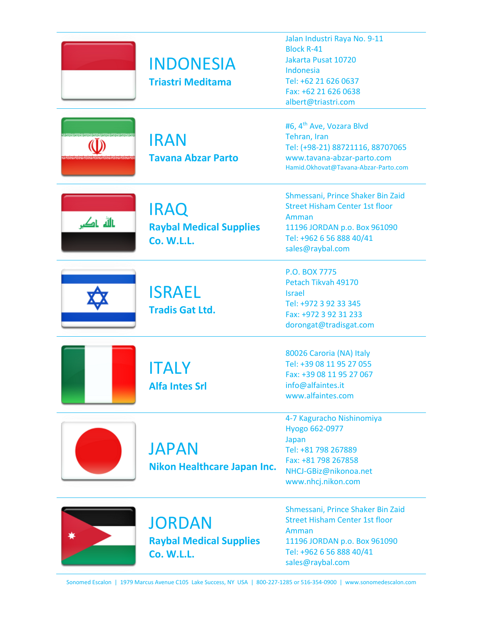|           | <b>INDONESIA</b><br><b>Triastri Meditama</b>                         | Jalan Industri Raya No. 9-11<br><b>Block R-41</b><br>Jakarta Pusat 10720<br>Indonesia<br>Tel: +62 21 626 0637<br>Fax: +62 21 626 0638<br>albert@triastri.com        |
|-----------|----------------------------------------------------------------------|---------------------------------------------------------------------------------------------------------------------------------------------------------------------|
|           | <b>IRAN</b><br><b>Tavana Abzar Parto</b>                             | #6, 4 <sup>th</sup> Ave, Vozara Blvd<br>Tehran, Iran<br>Tel: (+98-21) 88721116, 88707065<br>www.tavana-abzar-parto.com<br>Hamid.Okhovat@Tavana-Abzar-Parto.com      |
| نالله ناک | <b>IRAQ</b><br><b>Raybal Medical Supplies</b><br><b>Co. W.L.L.</b>   | Shmessani, Prince Shaker Bin Zaid<br><b>Street Hisham Center 1st floor</b><br>Amman<br>11196 JORDAN p.o. Box 961090<br>Tel: +962 6 56 888 40/41<br>sales@raybal.com |
|           | <b>ISRAEL</b><br><b>Tradis Gat Ltd.</b>                              | P.O. BOX 7775<br>Petach Tikvah 49170<br><b>Israel</b><br>Tel: +972 3 92 33 345<br>Fax: +972 3 92 31 233<br>dorongat@tradisgat.com                                   |
|           | <b>ITALY</b><br><b>Alfa Intes Srl</b>                                | 80026 Caroria (NA) Italy<br>Tel: +39 08 11 95 27 055<br>Fax: +39 08 11 95 27 067<br>info@alfaintes.it<br>www.alfaintes.com                                          |
|           | <b>JAPAN</b><br>Nikon Healthcare Japan Inc.                          | 4-7 Kaguracho Nishinomiya<br>Hyogo 662-0977<br>Japan<br>Tel: +81 798 267889<br>Fax: +81 798 267858<br>NHCJ-GBiz@nikonoa.net<br>www.nhcj.nikon.com                   |
|           | <b>JORDAN</b><br><b>Raybal Medical Supplies</b><br><b>Co. W.L.L.</b> | Shmessani, Prince Shaker Bin Zaid<br><b>Street Hisham Center 1st floor</b><br>Amman<br>11196 JORDAN p.o. Box 961090<br>Tel: +962 6 56 888 40/41<br>sales@raybal.com |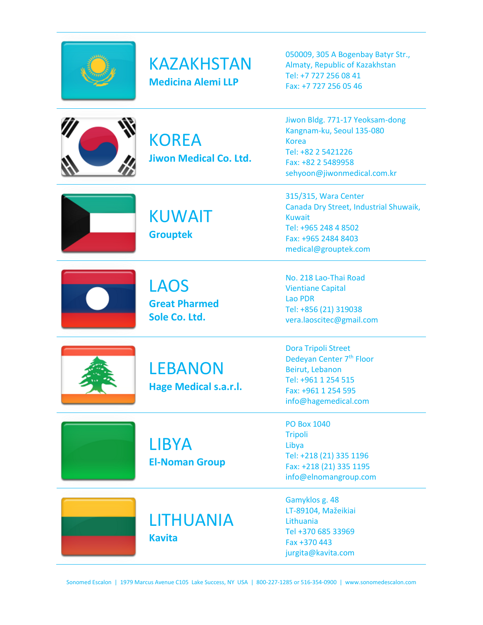



050009, 305 A Bogenbay Batyr Str., Almaty, Republic of Kazakhstan Tel: +7 727 256 08 41 Fax: +7 727 256 05 46



**KOREA Jiwon Medical Co. Ltd.** Jiwon Bldg. 771-17 Yeoksam-dong Kangnam-ku, Seoul 135-080 Korea Tel: +82 2 5421226 Fax: +82 2 5489958 sehyoon@jiwonmedical.com.kr

315/315, Wara Center

Kuwait



KUWAIT **Grouptek**

Tel: +965 248 4 8502 Fax: +965 2484 8403 medical@grouptek.com No. 218 Lao-Thai Road

Canada Dry Street, Industrial Shuwaik,



LAOS **Great Pharmed Sole Co. Ltd.**

Vientiane Capital Lao PDR Tel: +856 (21) 319038 vera.laoscitec@gmail.com

LEBANON **Hage Medical s.a.r.l.**

Dora Tripoli Street Dedeyan Center 7<sup>th</sup> Floor Beirut, Lebanon Tel: +961 1 254 515 Fax: +961 1 254 595 info@hagemedical.com

**LIBYA El-Noman Group**

LITHUANIA **Kavita**

PO Box 1040 Tripoli Libya Tel: +218 (21) 335 1196 Fax: +218 (21) 335 1195 info@elnomangroup.com

Gamyklos g. 48 LT-89104, Mažeikiai Lithuania Tel +370 685 33969 Fax +370 443 jurgita@kavita.com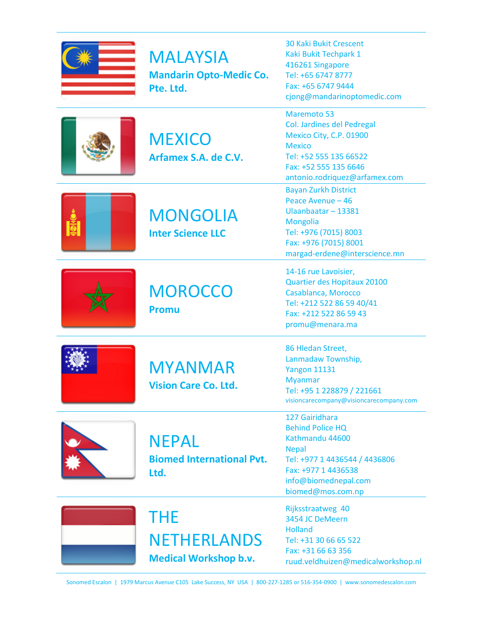| <b>MALAYSIA</b><br><b>Mandarin Opto-Medic Co.</b><br>Pte. Ltd.   | <b>30 Kaki Bukit Crescent</b><br>Kaki Bukit Techpark 1<br>416261 Singapore<br>Tel: +65 6747 8777<br>Fax: +65 6747 9444<br>cjong@mandarinoptomedic.com                             |
|------------------------------------------------------------------|-----------------------------------------------------------------------------------------------------------------------------------------------------------------------------------|
| <b>MEXICO</b><br>Arfamex S.A. de C.V.                            | <b>Maremoto 53</b><br>Col. Jardines del Pedregal<br>Mexico City, C.P. 01900<br><b>Mexico</b><br>Tel: +52 555 135 66522<br>Fax: +52 555 135 6646<br>antonio.rodriquez@arfamex.com  |
| <b>MONGOLIA</b><br><b>Inter Science LLC</b>                      | <b>Bayan Zurkh District</b><br>Peace Avenue - 46<br>Ulaanbaatar - 13381<br><b>Mongolia</b><br>Tel: +976 (7015) 8003<br>Fax: +976 (7015) 8001<br>margad-erdene@interscience.mn     |
| <b>MOROCCO</b><br><b>Promu</b>                                   | 14-16 rue Lavoisier,<br>Quartier des Hopitaux 20100<br>Casablanca, Morocco<br>Tel: +212 522 86 59 40/41<br>Fax: +212 522 86 59 43<br>promu@menara.ma                              |
| <b>MYANMAR</b><br><b>Vision Care Co. Ltd.</b>                    | 86 Hledan Street,<br>Lanmadaw Township,<br><b>Yangon 11131</b><br><b>Myanmar</b><br>Tel: +95 1 228879 / 221661<br>visioncarecompany@visioncarecompany.com                         |
| <b>NEPAL</b><br><b>Biomed International Pvt.</b><br>Ltd.         | 127 Gairidhara<br><b>Behind Police HQ</b><br>Kathmandu 44600<br><b>Nepal</b><br>Tel: +977 1 4436544 / 4436806<br>Fax: +977 1 4436538<br>info@biomednepal.com<br>biomed@mos.com.np |
| <b>THE</b><br><b>NETHERLANDS</b><br><b>Medical Workshop b.v.</b> | Rijksstraatweg 40<br>3454 JC DeMeern<br><b>Holland</b><br>Tel: +31 30 66 65 522<br>Fax: +31 66 63 356<br>ruud.veldhuizen@medicalworkshop.nl                                       |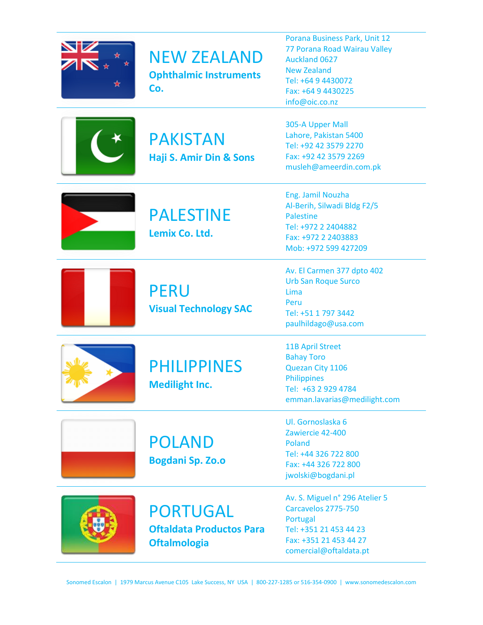| <b>NEW ZEALAND</b><br><b>Ophthalmic Instruments</b><br>Co.         | Porana Business Park, Unit 12<br>77 Porana Road Wairau Valley<br>Auckland 0627<br><b>New Zealand</b><br>Tel: +64 9 4430072<br>Fax: +64 9 4430225<br>info@oic.co.nz |
|--------------------------------------------------------------------|--------------------------------------------------------------------------------------------------------------------------------------------------------------------|
| <b>PAKISTAN</b><br>Haji S. Amir Din & Sons                         | 305-A Upper Mall<br>Lahore, Pakistan 5400<br>Tel: +92 42 3579 2270<br>Fax: +92 42 3579 2269<br>musleh@ameerdin.com.pk                                              |
| <b>PALESTINE</b><br>Lemix Co. Ltd.                                 | Eng. Jamil Nouzha<br>Al-Berih, Silwadi Bldg F2/5<br><b>Palestine</b><br>Tel: +972 2 2404882<br>Fax: +972 2 2403883<br>Mob: +972 599 427209                         |
| <b>PERU</b><br><b>Visual Technology SAC</b>                        | Av. El Carmen 377 dpto 402<br><b>Urb San Roque Surco</b><br>Lima<br>Peru<br>Tel: +51 1 797 3442<br>paulhildago@usa.com                                             |
| <b>PHILIPPINES</b><br><b>Medilight Inc.</b>                        | <b>11B April Street</b><br><b>Bahay Toro</b><br>Quezan City 1106<br><b>Philippines</b><br>Tel: +63 2 929 4784<br>emman.lavarias@medilight.com                      |
| <b>POLAND</b><br><b>Bogdani Sp. Zo.o</b>                           | Ul. Gornoslaska 6<br>Zawiercie 42-400<br>Poland<br>Tel: +44 326 722 800<br>Fax: +44 326 722 800<br>jwolski@bogdani.pl                                              |
| PORTUGAL<br><b>Oftaldata Productos Para</b><br><b>Oftalmologia</b> | Av. S. Miguel n° 296 Atelier 5<br>Carcavelos 2775-750<br>Portugal<br>Tel: +351 21 453 44 23<br>Fax: +351 21 453 44 27<br>comercial@oftaldata.pt                    |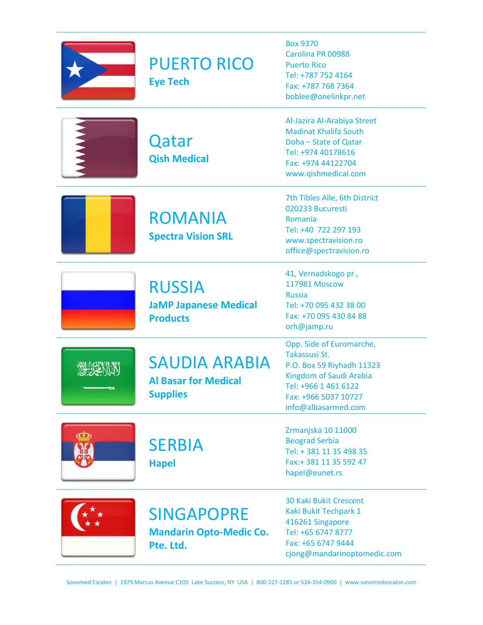## PUERTO RICO

**Eye Tech**

**Qatar** 

**Qish Medical**

Box 9370 Carolina PR 00988 Puerto Rico Tel: +787 752 4164 Fax: +787 768 7364 boblee@onelinkpr.net

Al-Jazira Al-Arabiya Street Madinat Khalifa South Doha – State of Qatar Tel: +974 40178616 Fax: +974 44122704 www.qishmedical.com

ROMANIA **Spectra Vision SRL**

7th Tibles Alle, 6th District 020233 Bucuresti Romania Tel: +40 722 297 193 www.spectravision.ro office@spectravision.ro

RUSSIA **JaMP Japanese Medical Products**

41, Vernadskogo pr., 117981 Moscow Russia Tel: +70 095 432 38 00 Fax: +70 095 430 84 88 orh@jamp.ru

 $332113$ 

### SAUDIA ARABIA

**Al Basar for Medical Supplies**

**SERBIA** 

**Hapel**

Takassusi St. P.O. Box 59 Riyhadh 11323 Kingdom of Saudi Arabia Tel: +966 1 461 6122 Fax: +966 5037 10727 info@albasarmed.com

Opp. Side of Euromarche,

Zrmanjska 10 11000 Beograd Serbia Tel: + 381 11 35 498 35 Fax:+ 381 11 35 592 47 hapel@eunet.rs



#### SINGAPOPRE **Mandarin Opto-Medic Co. Pte. Ltd.**

30 Kaki Bukit Crescent Kaki Bukit Techpark 1 416261 Singapore Tel: +65 6747 8777 Fax: +65 6747 9444 cjong@mandarinoptomedic.com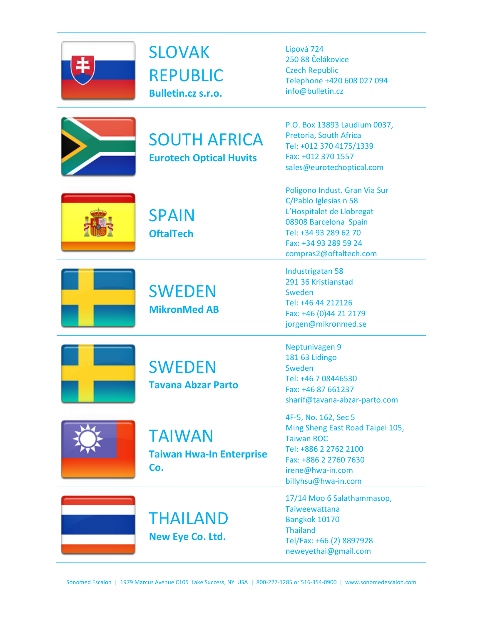

**SLOVAK** REPUBLIC **Bulletin.cz s.r.o.**

Lipová 724 250 88 Čelákovice Czech Republic Telephone +420 608 027 094 info@bulletin.cz

SOUTH AFRICA **Eurotech Optical Huvits**

P.O. Box 13893 Laudium 0037, Pretoria, South Africa Tel: +012 370 4175/1339 Fax: +012 370 1557 sales@eurotechoptical.com

Poligono Indust. Gran Via Sur

**SPAIN OftalTech**

SWEDEN

**MikronMed AB**

**SWEDEN** 

**Tavana Abzar Parto**

THAILAND

**New Eye Co. Ltd.**

L'Hospitalet de Llobregat 08908 Barcelona Spain Tel: +34 93 289 62 70 Fax: +34 93 289 59 24 compras2@oftaltech.com

C/Pablo Iglesias n 58

Industrigatan 58 291 36 Kristianstad Sweden Tel: +46 44 212126 Fax: +46 (0)44 21 2179 jorgen@mikronmed.se

Neptunivagen 9 181 63 Lidingo Sweden Tel: +46 7 08446530 Fax: +46 87 661237 sharif@tavana-abzar-parto.com

TAIWAN **Taiwan Hwa-In Enterprise Co.**

4F-5, No. 162, Sec 5 Ming Sheng East Road Taipei 105, Taiwan ROC Tel: +886 2 2762 2100 Fax: +886 2 2760 7630 irene@hwa-in.com billyhsu@hwa-in.com



17/14 Moo 6 Salathammasop, Taiweewattana Bangkok 10170 Thailand Tel/Fax: +66 (2) 8897928 neweyethai@gmail.com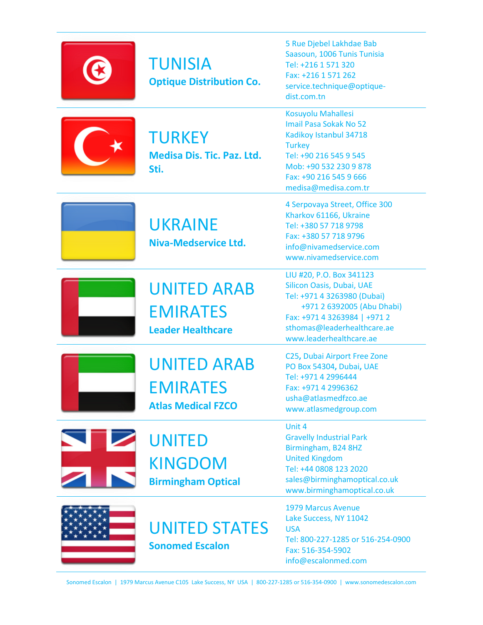| <b>TUNISIA</b><br><b>Optique Distribution Co.</b>                  | 5 Rue Djebel Lakhdae Bab<br>Saasoun, 1006 Tunis Tunisia<br>Tel: +216 1 571 320<br>Fax: +216 1 571 262<br>service.technique@optique-<br>dist.com.tn                                                           |
|--------------------------------------------------------------------|--------------------------------------------------------------------------------------------------------------------------------------------------------------------------------------------------------------|
| <b>TURKEY</b><br><b>Medisa Dis. Tic. Paz. Ltd.</b><br>Sti.         | Kosuyolu Mahallesi<br><b>Imail Pasa Sokak No 52</b><br>Kadikoy Istanbul 34718<br><b>Turkey</b><br>Tel: +90 216 545 9 545<br>Mob: +90 532 230 9 878<br>Fax: +90 216 545 9 666<br>medisa@medisa.com.tr         |
| <b>UKRAINE</b><br>Niva-Medservice Ltd.                             | 4 Serpovaya Street, Office 300<br>Kharkov 61166, Ukraine<br>Tel: +380 57 718 9798<br>Fax: +380 57 718 9796<br>info@nivamedservice.com<br>www.nivamedservice.com                                              |
| <b>UNITED ARAB</b><br><b>EMIRATES</b><br><b>Leader Healthcare</b>  | LIU #20, P.O. Box 341123<br>Silicon Oasis, Dubai, UAE<br>Tel: +971 4 3263980 (Dubai)<br>+971 2 6392005 (Abu Dhabi)<br>Fax: +971 4 3263984   +971 2<br>sthomas@leaderhealthcare.ae<br>www.leaderhealthcare.ae |
| <b>UNITED ARAB</b><br><b>EMIRATES</b><br><b>Atlas Medical FZCO</b> | C25, Dubai Airport Free Zone<br>PO Box 54304, Dubai, UAE<br>Tel: +971 4 2996444<br>Fax: +971 4 2996362<br>usha@atlasmedfzco.ae<br>www.atlasmedgroup.com                                                      |
| <b>UNITED</b><br><b>KINGDOM</b><br><b>Birmingham Optical</b>       | Unit 4<br><b>Gravelly Industrial Park</b><br>Birmingham, B24 8HZ<br><b>United Kingdom</b><br>Tel: +44 0808 123 2020<br>sales@birminghamoptical.co.uk<br>www.birminghamoptical.co.uk                          |
| <b>UNITED STATES</b><br><b>Sonomed Escalon</b>                     | <b>1979 Marcus Avenue</b><br>Lake Success, NY 11042<br><b>USA</b><br>Tel: 800-227-1285 or 516-254-0900<br>Fax: 516-354-5902<br>info@escalonmed.com                                                           |